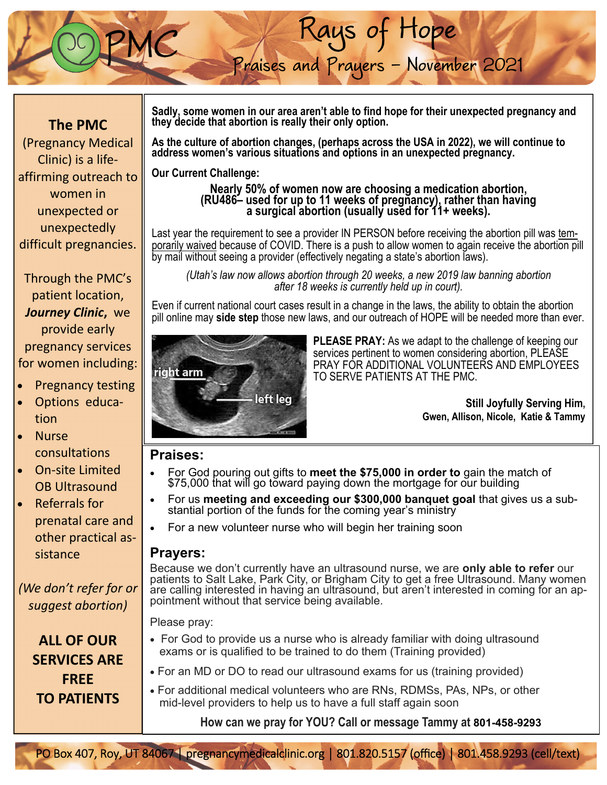## **The PMC**

(Pregnancy Medical Clinic) is a life‐ affirming outreach to women in unexpected or unexpectedly difficult pregnancies.

Through the PMC's patient location, *Journey Clinic***,** we provide early pregnancy services for women including:

- Pregnancy testing
- Options educa‐ tion
- Nurse consultations
- On‐site Limited OB Ultrasound
- Referrals for prenatal care and other practical as‐ sistance

*(We don't refer for or suggest abortion)* 

> **ALL OF OUR SERVICES ARE FREE TO PATIENTS**

**Sadly, some women in our area aren't able to find hope for their unexpected pregnancy and they decide that abortion is really their only option.** 

Rays of Hope

Praises and Prayers - November 2021

**As the culture of abortion changes, (perhaps across the USA in 2022), we will continue to**  address women's various situations and options in an unexpected pregnancy.

**Our Current Challenge:** 

# **Nearly 50% of women now are choosing a medication abortion, (RU486– used for up to 11 weeks of pregnancy), rather than having a surgical abortion (usually used for 11+ weeks).**

Last year the requirement to see a provider IN PERSON before receiving the abortion pill was temporarily waived because of COVID. There is a push to allow women to again receive the abortion pill by mail without seeing a provider (effectively negating a state's abortion laws).

*(Utah's law now allows abortion through 20 weeks, a new 2019 law banning abortion after 18 weeks is currently held up in court).* 

Even if current national court cases result in a change in the laws, the ability to obtain the abortion pill online may **side step** those new laws, and our outreach of HOPE will be needed more than ever.



**PLEASE PRAY:** As we adapt to the challenge of keeping our services pertinent to women considering abortion, PLEASE PRAY FOR ADDITIONAL VOLUNTEERS AND EMPLOYEES TO SERVE PATIENTS AT THE PMC.

> **Still Joyfully Serving Him, Gwen, Allison, Nicole, Katie & Tammy**

### **Praises:**

- For God pouring out gifts to **meet the \$75,000 in order to** gain the match of \$75,000 that will go toward paying down the mortgage for our building
- For us **meeting and exceeding our \$300,000 banquet goal** that gives us a substantial portion of the funds for the coming year's ministry
- For a new volunteer nurse who will begin her training soon

#### **Prayers:**

Because we don't currently have an ultrasound nurse, we are **only able to refer** our patients to Salt Lake, Park City, or Brigham City to get a free Ultrasound. Many women are calling interested in having an ultrasound, but aren't interested in coming for an appointment without that service being available.

Please pray:

- For God to provide us a nurse who is already familiar with doing ultrasound exams or is qualified to be trained to do them (Training provided)
- For an MD or DO to read our ultrasound exams for us (training provided)
- For additional medical volunteers who are RNs, RDMSs, PAs, NPs, or other mid-level providers to help us to have a full staff again soon

**How can we pray for YOU? Call or message Tammy at 801-458-9293**

PO Box 407, Roy, UT 84067 | pregnancymedicalclinic.org | 801.820.5157 (office) | 801.458.9293 (cell/text)